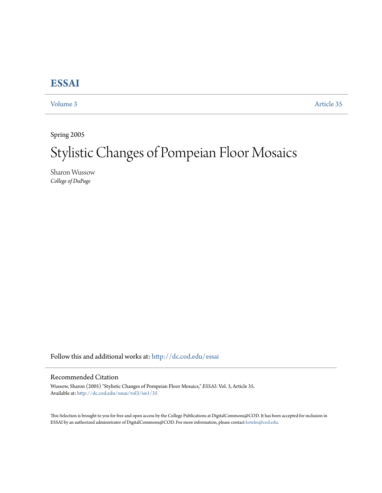## **[ESSAI](http://dc.cod.edu/essai?utm_source=dc.cod.edu%2Fessai%2Fvol3%2Fiss1%2F35&utm_medium=PDF&utm_campaign=PDFCoverPages)**

[Volume 3](http://dc.cod.edu/essai/vol3?utm_source=dc.cod.edu%2Fessai%2Fvol3%2Fiss1%2F35&utm_medium=PDF&utm_campaign=PDFCoverPages) [Article 35](http://dc.cod.edu/essai/vol3/iss1/35?utm_source=dc.cod.edu%2Fessai%2Fvol3%2Fiss1%2F35&utm_medium=PDF&utm_campaign=PDFCoverPages)

Spring 2005

# Stylistic Changes of Pompeian Floor Mosaics

Sharon Wussow *College of DuPage*

Follow this and additional works at: [http://dc.cod.edu/essai](http://dc.cod.edu/essai?utm_source=dc.cod.edu%2Fessai%2Fvol3%2Fiss1%2F35&utm_medium=PDF&utm_campaign=PDFCoverPages)

### Recommended Citation

Wussow, Sharon (2005) "Stylistic Changes of Pompeian Floor Mosaics," *ESSAI*: Vol. 3, Article 35. Available at: [http://dc.cod.edu/essai/vol3/iss1/35](http://dc.cod.edu/essai/vol3/iss1/35?utm_source=dc.cod.edu%2Fessai%2Fvol3%2Fiss1%2F35&utm_medium=PDF&utm_campaign=PDFCoverPages)

This Selection is brought to you for free and open access by the College Publications at DigitalCommons@COD. It has been accepted for inclusion in ESSAI by an authorized administrator of DigitalCommons@COD. For more information, please contact [koteles@cod.edu](mailto:koteles@cod.edu).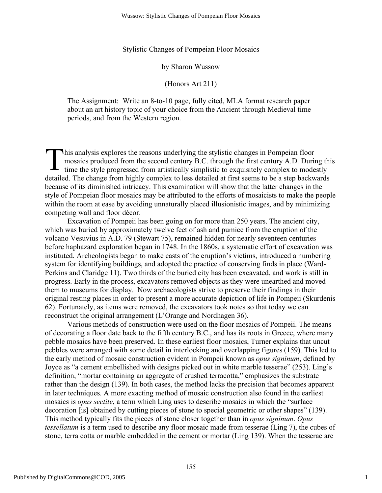Stylistic Changes of Pompeian Floor Mosaics

by Sharon Wussow

(Honors Art 211)

The Assignment: Write an 8-to-10 page, fully cited, MLA format research paper about an art history topic of your choice from the Ancient through Medieval time periods, and from the Western region.

his analysis explores the reasons underlying the stylistic changes in Pompeian floor mosaics produced from the second century B.C. through the first century A.D. Duri time the style progressed from artistically simplistic mosaics produced from the second century B.C. through the first century A.D. During this time the style progressed from artistically simplistic to exquisitely complex to modestly detailed. The change from highly complex to less detailed at first seems to be a step backwards because of its diminished intricacy. This examination will show that the latter changes in the style of Pompeian floor mosaics may be attributed to the efforts of mosaicists to make the people within the room at ease by avoiding unnaturally placed illusionistic images, and by minimizing competing wall and floor décor.

Excavation of Pompeii has been going on for more than 250 years. The ancient city, which was buried by approximately twelve feet of ash and pumice from the eruption of the volcano Vesuvius in A.D. 79 (Stewart 75), remained hidden for nearly seventeen centuries before haphazard exploration began in 1748. In the 1860s, a systematic effort of excavation was instituted. Archeologists began to make casts of the eruption's victims, introduced a numbering system for identifying buildings, and adopted the practice of conserving finds in place (Ward-Perkins and Claridge 11). Two thirds of the buried city has been excavated, and work is still in progress. Early in the process, excavators removed objects as they were unearthed and moved them to museums for display. Now archaeologists strive to preserve their findings in their original resting places in order to present a more accurate depiction of life in Pompeii (Skurdenis 62). Fortunately, as items were removed, the excavators took notes so that today we can reconstruct the original arrangement (L'Orange and Nordhagen 36).

Various methods of construction were used on the floor mosaics of Pompeii. The means of decorating a floor date back to the fifth century B.C., and has its roots in Greece, where many pebble mosaics have been preserved. In these earliest floor mosaics, Turner explains that uncut pebbles were arranged with some detail in interlocking and overlapping figures (159). This led to the early method of mosaic construction evident in Pompeii known as *opus signinum*, defined by Joyce as "a cement embellished with designs picked out in white marble tesserae" (253). Ling's definition, "mortar containing an aggregate of crushed terracotta," emphasizes the substrate rather than the design (139). In both cases, the method lacks the precision that becomes apparent in later techniques. A more exacting method of mosaic construction also found in the earliest mosaics is *opus sectile*, a term which Ling uses to describe mosaics in which the "surface decoration [is] obtained by cutting pieces of stone to special geometric or other shapes" (139). This method typically fits the pieces of stone closer together than in *opus signinum*. *Opus tessellatum* is a term used to describe any floor mosaic made from tesserae (Ling 7), the cubes of stone, terra cotta or marble embedded in the cement or mortar (Ling 139). When the tesserae are

1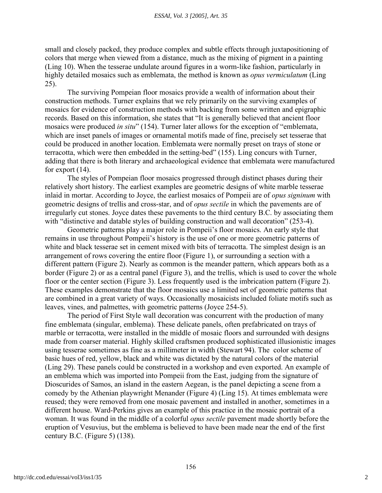small and closely packed, they produce complex and subtle effects through juxtapositioning of colors that merge when viewed from a distance, much as the mixing of pigment in a painting (Ling 10). When the tesserae undulate around figures in a worm-like fashion, particularly in highly detailed mosaics such as emblemata, the method is known as *opus vermiculatum* (Ling 25).

The surviving Pompeian floor mosaics provide a wealth of information about their construction methods. Turner explains that we rely primarily on the surviving examples of mosaics for evidence of construction methods with backing from some written and epigraphic records. Based on this information, she states that "It is generally believed that ancient floor mosaics were produced *in situ*" (154). Turner later allows for the exception of "emblemata, which are inset panels of images or ornamental motifs made of fine, precisely set tesserae that could be produced in another location. Emblemata were normally preset on trays of stone or terracotta, which were then embedded in the setting-bed" (155). Ling concurs with Turner, adding that there is both literary and archaeological evidence that emblemata were manufactured for export (14).

The styles of Pompeian floor mosaics progressed through distinct phases during their relatively short history. The earliest examples are geometric designs of white marble tesserae inlaid in mortar. According to Joyce, the earliest mosaics of Pompeii are of *opus signinum* with geometric designs of trellis and cross-star, and of *opus sectile* in which the pavements are of irregularly cut stones. Joyce dates these pavements to the third century B.C. by associating them with "distinctive and datable styles of building construction and wall decoration" (253-4).

Geometric patterns play a major role in Pompeii's floor mosaics. An early style that remains in use throughout Pompeii's history is the use of one or more geometric patterns of white and black tesserae set in cement mixed with bits of terracotta. The simplest design is an arrangement of rows covering the entire floor (Figure 1), or surrounding a section with a different pattern (Figure 2). Nearly as common is the meander pattern, which appears both as a border (Figure 2) or as a central panel (Figure 3), and the trellis, which is used to cover the whole floor or the center section (Figure 3). Less frequently used is the imbrication pattern (Figure 2). These examples demonstrate that the floor mosaics use a limited set of geometric patterns that are combined in a great variety of ways. Occasionally mosaicists included foliate motifs such as leaves, vines, and palmettes, with geometric patterns (Joyce 254-5).

The period of First Style wall decoration was concurrent with the production of many fine emblemata (singular, emblema). These delicate panels, often prefabricated on trays of marble or terracotta, were installed in the middle of mosaic floors and surrounded with designs made from coarser material. Highly skilled craftsmen produced sophisticated illusionistic images using tesserae sometimes as fine as a millimeter in width (Stewart 94). The color scheme of basic hues of red, yellow, black and white was dictated by the natural colors of the material (Ling 29). These panels could be constructed in a workshop and even exported. An example of an emblema which was imported into Pompeii from the East, judging from the signature of Dioscurides of Samos, an island in the eastern Aegean, is the panel depicting a scene from a comedy by the Athenian playwright Menander (Figure 4) (Ling 15). At times emblemata were reused; they were removed from one mosaic pavement and installed in another, sometimes in a different house. Ward-Perkins gives an example of this practice in the mosaic portrait of a woman. It was found in the middle of a colorful *opus sectile* pavement made shortly before the eruption of Vesuvius, but the emblema is believed to have been made near the end of the first century B.C. (Figure 5) (138).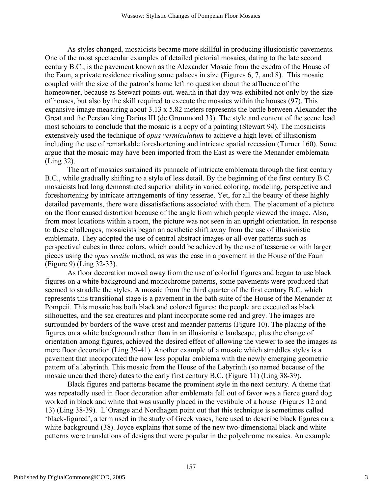As styles changed, mosaicists became more skillful in producing illusionistic pavements. One of the most spectacular examples of detailed pictorial mosaics, dating to the late second century B.C., is the pavement known as the Alexander Mosaic from the exedra of the House of the Faun, a private residence rivaling some palaces in size (Figures 6, 7, and 8). This mosaic coupled with the size of the patron's home left no question about the affluence of the homeowner, because as Stewart points out, wealth in that day was exhibited not only by the size of houses, but also by the skill required to execute the mosaics within the houses (97). This expansive image measuring about 3.13 x 5.82 meters represents the battle between Alexander the Great and the Persian king Darius III (de Grummond 33). The style and content of the scene lead most scholars to conclude that the mosaic is a copy of a painting (Stewart 94). The mosaicists extensively used the technique of *opus vermiculatum* to achieve a high level of illusionism including the use of remarkable foreshortening and intricate spatial recession (Turner 160). Some argue that the mosaic may have been imported from the East as were the Menander emblemata (Ling 32).

The art of mosaics sustained its pinnacle of intricate emblemata through the first century B.C., while gradually shifting to a style of less detail. By the beginning of the first century B.C. mosaicists had long demonstrated superior ability in varied coloring, modeling, perspective and foreshortening by intricate arrangements of tiny tesserae. Yet, for all the beauty of these highly detailed pavements, there were dissatisfactions associated with them. The placement of a picture on the floor caused distortion because of the angle from which people viewed the image. Also, from most locations within a room, the picture was not seen in an upright orientation. In response to these challenges, mosaicists began an aesthetic shift away from the use of illusionistic emblemata. They adopted the use of central abstract images or all-over patterns such as perspectival cubes in three colors, which could be achieved by the use of tesserae or with larger pieces using the *opus sectile* method, as was the case in a pavement in the House of the Faun (Figure 9) (Ling 32-33).

As floor decoration moved away from the use of colorful figures and began to use black figures on a white background and monochrome patterns, some pavements were produced that seemed to straddle the styles. A mosaic from the third quarter of the first century B.C. which represents this transitional stage is a pavement in the bath suite of the House of the Menander at Pompeii. This mosaic has both black and colored figures: the people are executed as black silhouettes, and the sea creatures and plant incorporate some red and grey. The images are surrounded by borders of the wave-crest and meander patterns (Figure 10). The placing of the figures on a white background rather than in an illusionistic landscape, plus the change of orientation among figures, achieved the desired effect of allowing the viewer to see the images as mere floor decoration (Ling 39-41). Another example of a mosaic which straddles styles is a pavement that incorporated the now less popular emblema with the newly emerging geometric pattern of a labyrinth. This mosaic from the House of the Labyrinth (so named because of the mosaic unearthed there) dates to the early first century B.C. (Figure 11) (Ling 38-39).

Black figures and patterns became the prominent style in the next century. A theme that was repeatedly used in floor decoration after emblemata fell out of favor was a fierce guard dog worked in black and white that was usually placed in the vestibule of a house (Figures 12 and 13) (Ling 38-39). L'Orange and Nordhagen point out that this technique is sometimes called 'black-figured', a term used in the study of Greek vases, here used to describe black figures on a white background (38). Joyce explains that some of the new two-dimensional black and white patterns were translations of designs that were popular in the polychrome mosaics. An example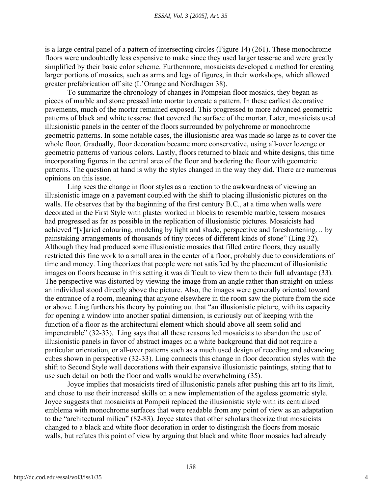is a large central panel of a pattern of intersecting circles (Figure 14) (261). These monochrome floors were undoubtedly less expensive to make since they used larger tesserae and were greatly simplified by their basic color scheme. Furthermore, mosaicists developed a method for creating larger portions of mosaics, such as arms and legs of figures, in their workshops, which allowed greater prefabrication off site (L'Orange and Nordhagen 38).

To summarize the chronology of changes in Pompeian floor mosaics, they began as pieces of marble and stone pressed into mortar to create a pattern. In these earliest decorative pavements, much of the mortar remained exposed. This progressed to more advanced geometric patterns of black and white tesserae that covered the surface of the mortar. Later, mosaicists used illusionistic panels in the center of the floors surrounded by polychrome or monochrome geometric patterns. In some notable cases, the illusionistic area was made so large as to cover the whole floor. Gradually, floor decoration became more conservative, using all-over lozenge or geometric patterns of various colors. Lastly, floors returned to black and white designs, this time incorporating figures in the central area of the floor and bordering the floor with geometric patterns. The question at hand is why the styles changed in the way they did. There are numerous opinions on this issue.

Ling sees the change in floor styles as a reaction to the awkwardness of viewing an illusionistic image on a pavement coupled with the shift to placing illusionistic pictures on the walls. He observes that by the beginning of the first century B.C., at a time when walls were decorated in the First Style with plaster worked in blocks to resemble marble, tessera mosaics had progressed as far as possible in the replication of illusionistic pictures. Mosaicists had achieved "[v]aried colouring, modeling by light and shade, perspective and foreshortening… by painstaking arrangements of thousands of tiny pieces of different kinds of stone" (Ling 32). Although they had produced some illusionistic mosaics that filled entire floors, they usually restricted this fine work to a small area in the center of a floor, probably due to considerations of time and money. Ling theorizes that people were not satisfied by the placement of illusionistic images on floors because in this setting it was difficult to view them to their full advantage (33). The perspective was distorted by viewing the image from an angle rather than straight-on unless an individual stood directly above the picture. Also, the images were generally oriented toward the entrance of a room, meaning that anyone elsewhere in the room saw the picture from the side or above. Ling furthers his theory by pointing out that "an illusionistic picture, with its capacity for opening a window into another spatial dimension, is curiously out of keeping with the function of a floor as the architectural element which should above all seem solid and impenetrable" (32-33). Ling says that all these reasons led mosaicists to abandon the use of illusionistic panels in favor of abstract images on a white background that did not require a particular orientation, or all-over patterns such as a much used design of receding and advancing cubes shown in perspective (32-33). Ling connects this change in floor decoration styles with the shift to Second Style wall decorations with their expansive illusionistic paintings, stating that to use such detail on both the floor and walls would be overwhelming (35).

Joyce implies that mosaicists tired of illusionistic panels after pushing this art to its limit, and chose to use their increased skills on a new implementation of the ageless geometric style. Joyce suggests that mosaicists at Pompeii replaced the illusionistic style with its centralized emblema with monochrome surfaces that were readable from any point of view as an adaptation to the "architectural milieu" (82-83). Joyce states that other scholars theorize that mosaicists changed to a black and white floor decoration in order to distinguish the floors from mosaic walls, but refutes this point of view by arguing that black and white floor mosaics had already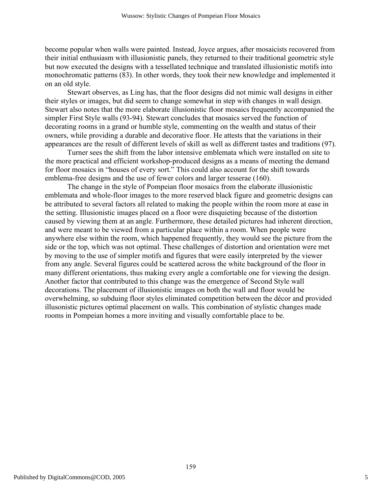become popular when walls were painted. Instead, Joyce argues, after mosaicists recovered from their initial enthusiasm with illusionistic panels, they returned to their traditional geometric style but now executed the designs with a tessellated technique and translated illusionistic motifs into monochromatic patterns (83). In other words, they took their new knowledge and implemented it on an old style.

Stewart observes, as Ling has, that the floor designs did not mimic wall designs in either their styles or images, but did seem to change somewhat in step with changes in wall design. Stewart also notes that the more elaborate illusionistic floor mosaics frequently accompanied the simpler First Style walls (93-94). Stewart concludes that mosaics served the function of decorating rooms in a grand or humble style, commenting on the wealth and status of their owners, while providing a durable and decorative floor. He attests that the variations in their appearances are the result of different levels of skill as well as different tastes and traditions (97).

Turner sees the shift from the labor intensive emblemata which were installed on site to the more practical and efficient workshop-produced designs as a means of meeting the demand for floor mosaics in "houses of every sort." This could also account for the shift towards emblema-free designs and the use of fewer colors and larger tesserae (160).

The change in the style of Pompeian floor mosaics from the elaborate illusionistic emblemata and whole-floor images to the more reserved black figure and geometric designs can be attributed to several factors all related to making the people within the room more at ease in the setting. Illusionistic images placed on a floor were disquieting because of the distortion caused by viewing them at an angle. Furthermore, these detailed pictures had inherent direction, and were meant to be viewed from a particular place within a room. When people were anywhere else within the room, which happened frequently, they would see the picture from the side or the top, which was not optimal. These challenges of distortion and orientation were met by moving to the use of simpler motifs and figures that were easily interpreted by the viewer from any angle. Several figures could be scattered across the white background of the floor in many different orientations, thus making every angle a comfortable one for viewing the design. Another factor that contributed to this change was the emergence of Second Style wall decorations. The placement of illusionistic images on both the wall and floor would be overwhelming, so subduing floor styles eliminated competition between the décor and provided illusonistic pictures optimal placement on walls. This combination of stylistic changes made rooms in Pompeian homes a more inviting and visually comfortable place to be.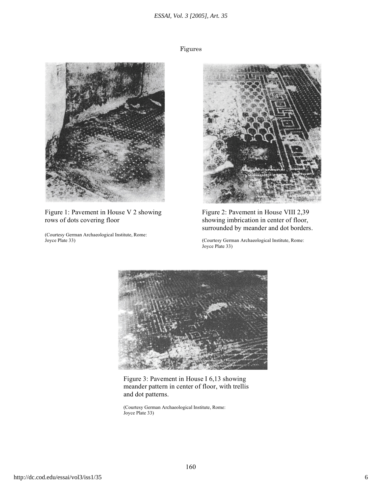#### *ESSAI, Vol. 3 [2005], Art. 35*

Figures



Figure 1: Pavement in House V 2 showing Figure 2: Pavement in House VIII 2,39 rows of dots covering floor showing imbrication in center of floor,

(Courtesy German Archaeological Institute, Rome:



surrounded by meander and dot borders.

(Courtesy German Archaeological Institute, Rome: Joyce Plate 33)



Figure 3: Pavement in House I 6,13 showing meander pattern in center of floor, with trellis and dot patterns.

(Courtesy German Archaeological Institute, Rome: Joyce Plate 33)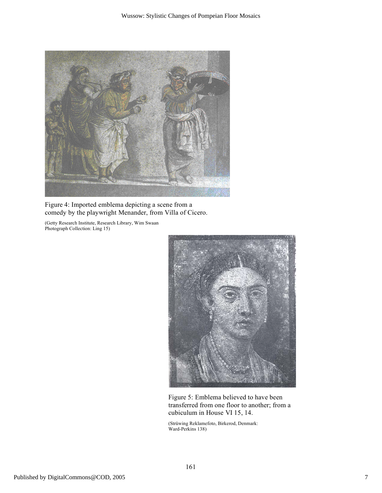

Figure 4: Imported emblema depicting a scene from a comedy by the playwright Menander, from Villa of Cicero.

(Getty Research Institute, Research Library, Wim Swaan Photograph Collection: Ling 15)



Figure 5: Emblema believed to have been transferred from one floor to another; from a cubiculum in House VI 15, 14.

(Strüwing Reklamefoto, Birkerod, Denmark: Ward-Perkins 138)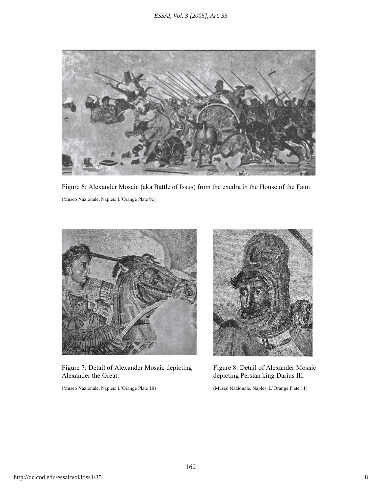

Figure 6: Alexander Mosaic (aka Battle of Issus) from the exedra in the House of the Faun. (Museo Nazionale, Naples: L'Orange Plate 9c)



Figure 7: Detail of Alexander Mosaic depicting Figure 8: Detail of Alexander Mosaic Alexander the Great.  $\blacksquare$  depicting Persian king Darius III.

(Museo Nazionale, Naples: L'Orange Plate 10) (Museo Nazionale, Naples: L'Orange Plate 11)

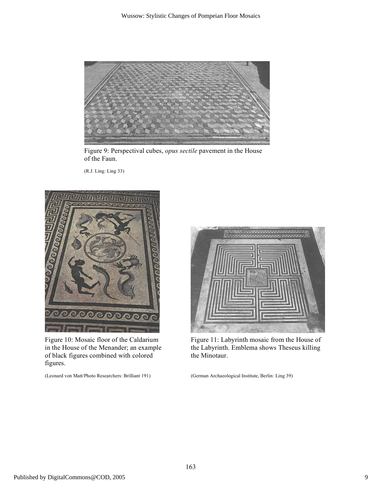

Figure 9: Perspectival cubes, *opus sectile* pavement in the House of the Faun.

(R.J. Ling: Ling 33)



of black figures combined with colored the Minotaur. figures.

(Leonard von Matt/Photo Researchers: Brilliant 191) (German Archaeological Institute, Berlin: Ling 39)



Figure 10: Mosaic floor of the Caldarium Figure 11: Labyrinth mosaic from the House of in the House of the Menander; an example the Labyrinth. Emblema shows Theseus killing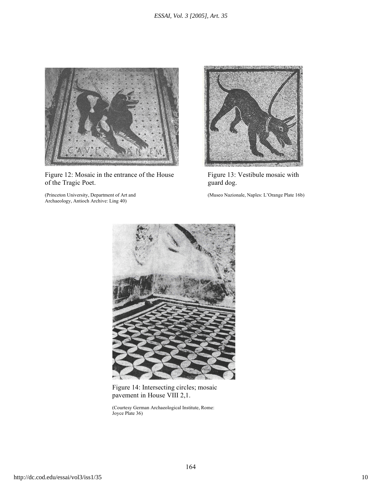

Figure 12: Mosaic in the entrance of the House Figure 13: Vestibule mosaic with of the Tragic Poet.  $guard dog$ .

Archaeology, Antioch Archive: Ling 40)



(Princeton University, Department of Art and (Museo Nazionale, Naples: L'Orange Plate 16b)



Figure 14: Intersecting circles; mosaic pavement in House VIII 2,1.

(Courtesy German Archaeological Institute, Rome: Joyce Plate 36)